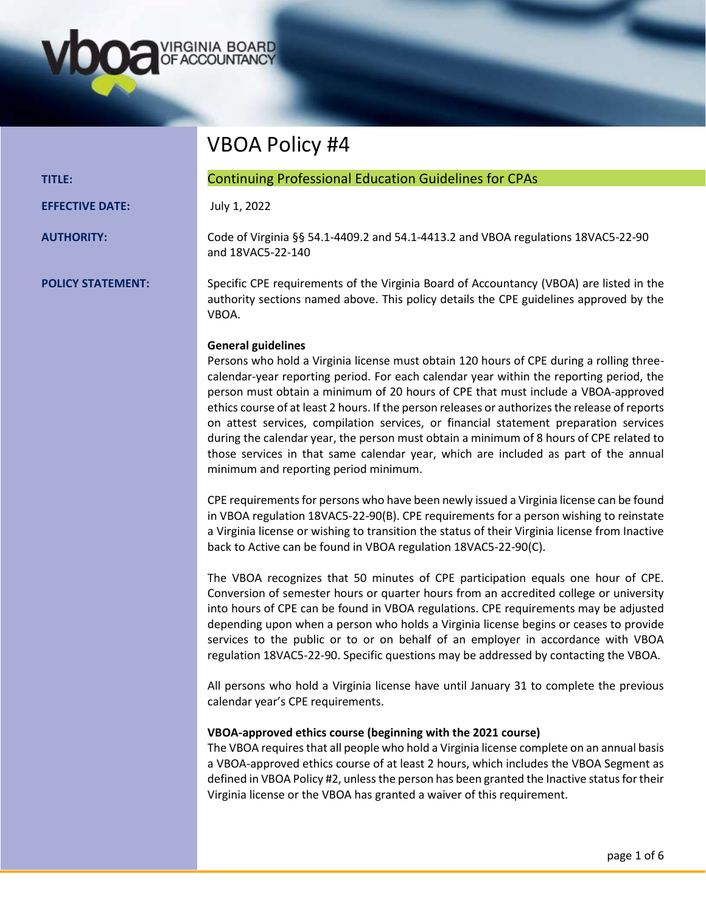

|               | <b>VBOA Policy #4</b>                                        |
|---------------|--------------------------------------------------------------|
| <b>TITLE:</b> | <b>Continuing Professional Education Guidelines for CPAs</b> |

**EFFECTIVE DATE:** July 1, 2022

**AUTHORITY:** Code of Virginia §§ 54.1-4409.2 and 54.1-4413.2 and VBOA regulations 18VAC5-22-90 and 18VAC5-22-140

**POLICY STATEMENT:** Specific CPE requirements of the Virginia Board of Accountancy (VBOA) are listed in the authority sections named above. This policy details the CPE guidelines approved by the VBOA.

## **General guidelines**

Persons who hold a Virginia license must obtain 120 hours of CPE during a rolling threecalendar-year reporting period. For each calendar year within the reporting period, the person must obtain a minimum of 20 hours of CPE that must include a VBOA-approved ethics course of at least 2 hours. If the person releases or authorizes the release of reports on attest services, compilation services, or financial statement preparation services during the calendar year, the person must obtain a minimum of 8 hours of CPE related to those services in that same calendar year, which are included as part of the annual minimum and reporting period minimum.

CPE requirements for persons who have been newly issued a Virginia license can be found in VBOA regulation 18VAC5-22-90(B). CPE requirements for a person wishing to reinstate a Virginia license or wishing to transition the status of their Virginia license from Inactive back to Active can be found in VBOA regulation 18VAC5-22-90(C).

The VBOA recognizes that 50 minutes of CPE participation equals one hour of CPE. Conversion of semester hours or quarter hours from an accredited college or university into hours of CPE can be found in VBOA regulations. CPE requirements may be adjusted depending upon when a person who holds a Virginia license begins or ceases to provide services to the public or to or on behalf of an employer in accordance with VBOA regulation 18VAC5-22-90. Specific questions may be addressed by contacting the VBOA.

All persons who hold a Virginia license have until January 31 to complete the previous calendar year's CPE requirements.

### **VBOA-approved ethics course (beginning with the 2021 course)**

The VBOA requires that all people who hold a Virginia license complete on an annual basis a VBOA-approved ethics course of at least 2 hours, which includes the VBOA Segment as defined in VBOA Policy #2, unless the person has been granted the Inactive status for their Virginia license or the VBOA has granted a waiver of this requirement.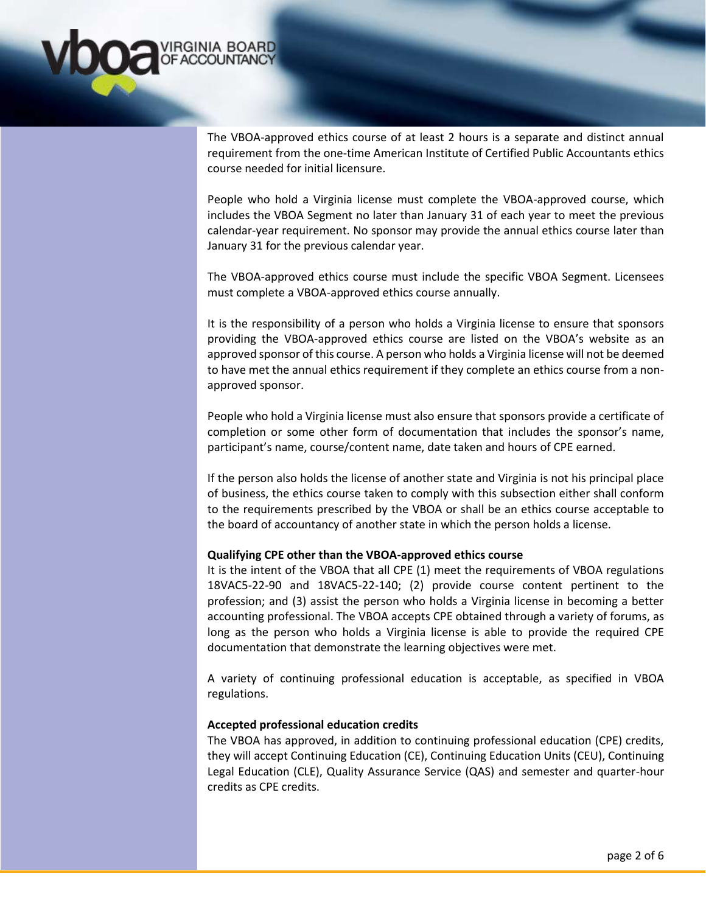

The VBOA-approved ethics course of at least 2 hours is a separate and distinct annual requirement from the one-time American Institute of Certified Public Accountants ethics course needed for initial licensure.

People who hold a Virginia license must complete the VBOA-approved course, which includes the VBOA Segment no later than January 31 of each year to meet the previous calendar-year requirement. No sponsor may provide the annual ethics course later than January 31 for the previous calendar year.

The VBOA-approved ethics course must include the specific VBOA Segment. Licensees must complete a VBOA-approved ethics course annually.

It is the responsibility of a person who holds a Virginia license to ensure that sponsors providing the VBOA-approved ethics course are listed on the VBOA's website as an approved sponsor of this course. A person who holds a Virginia license will not be deemed to have met the annual ethics requirement if they complete an ethics course from a nonapproved sponsor.

People who hold a Virginia license must also ensure that sponsors provide a certificate of completion or some other form of documentation that includes the sponsor's name, participant's name, course/content name, date taken and hours of CPE earned.

If the person also holds the license of another state and Virginia is not his principal place of business, the ethics course taken to comply with this subsection either shall conform to the requirements prescribed by the VBOA or shall be an ethics course acceptable to the board of accountancy of another state in which the person holds a license.

### **Qualifying CPE other than the VBOA-approved ethics course**

It is the intent of the VBOA that all CPE (1) meet the requirements of VBOA regulations 18VAC5-22-90 and 18VAC5-22-140; (2) provide course content pertinent to the profession; and (3) assist the person who holds a Virginia license in becoming a better accounting professional. The VBOA accepts CPE obtained through a variety of forums, as long as the person who holds a Virginia license is able to provide the required CPE documentation that demonstrate the learning objectives were met.

A variety of continuing professional education is acceptable, as specified in VBOA regulations.

#### **Accepted professional education credits**

The VBOA has approved, in addition to continuing professional education (CPE) credits, they will accept Continuing Education (CE), Continuing Education Units (CEU), Continuing Legal Education (CLE), Quality Assurance Service (QAS) and semester and quarter-hour credits as CPE credits.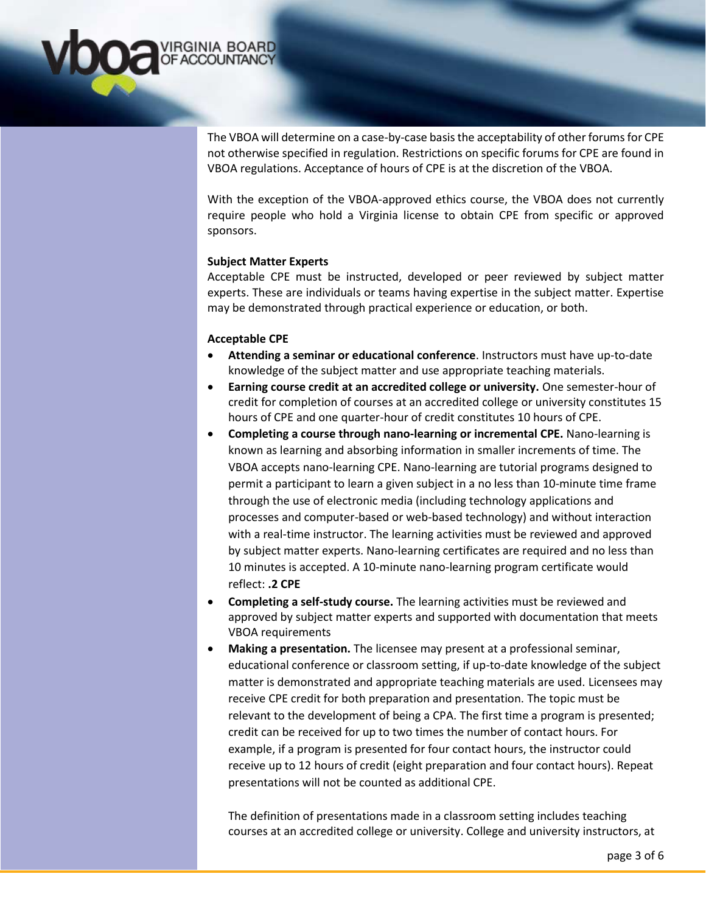

The VBOA will determine on a case-by-case basis the acceptability of other forums for CPE not otherwise specified in regulation. Restrictions on specific forums for CPE are found in VBOA regulations. Acceptance of hours of CPE is at the discretion of the VBOA.

With the exception of the VBOA-approved ethics course, the VBOA does not currently require people who hold a Virginia license to obtain CPE from specific or approved sponsors.

### **Subject Matter Experts**

Acceptable CPE must be instructed, developed or peer reviewed by subject matter experts. These are individuals or teams having expertise in the subject matter. Expertise may be demonstrated through practical experience or education, or both.

## **Acceptable CPE**

- **Attending a seminar or educational conference**. Instructors must have up-to-date knowledge of the subject matter and use appropriate teaching materials.
- **Earning course credit at an accredited college or university.** One semester-hour of credit for completion of courses at an accredited college or university constitutes 15 hours of CPE and one quarter-hour of credit constitutes 10 hours of CPE.
- **Completing a course through nano-learning or incremental CPE.** Nano-learning is known as learning and absorbing information in smaller increments of time. The VBOA accepts nano-learning CPE. Nano-learning are tutorial programs designed to permit a participant to learn a given subject in a no less than 10-minute time frame through the use of electronic media (including technology applications and processes and computer-based or web-based technology) and without interaction with a real-time instructor. The learning activities must be reviewed and approved by subject matter experts. Nano-learning certificates are required and no less than 10 minutes is accepted. A 10-minute nano-learning program certificate would reflect: **.2 CPE**
- **Completing a self-study course.** The learning activities must be reviewed and approved by subject matter experts and supported with documentation that meets VBOA requirements
- **Making a presentation.** The licensee may present at a professional seminar, educational conference or classroom setting, if up-to-date knowledge of the subject matter is demonstrated and appropriate teaching materials are used. Licensees may receive CPE credit for both preparation and presentation. The topic must be relevant to the development of being a CPA. The first time a program is presented; credit can be received for up to two times the number of contact hours. For example, if a program is presented for four contact hours, the instructor could receive up to 12 hours of credit (eight preparation and four contact hours). Repeat presentations will not be counted as additional CPE.

The definition of presentations made in a classroom setting includes teaching courses at an accredited college or university. College and university instructors, at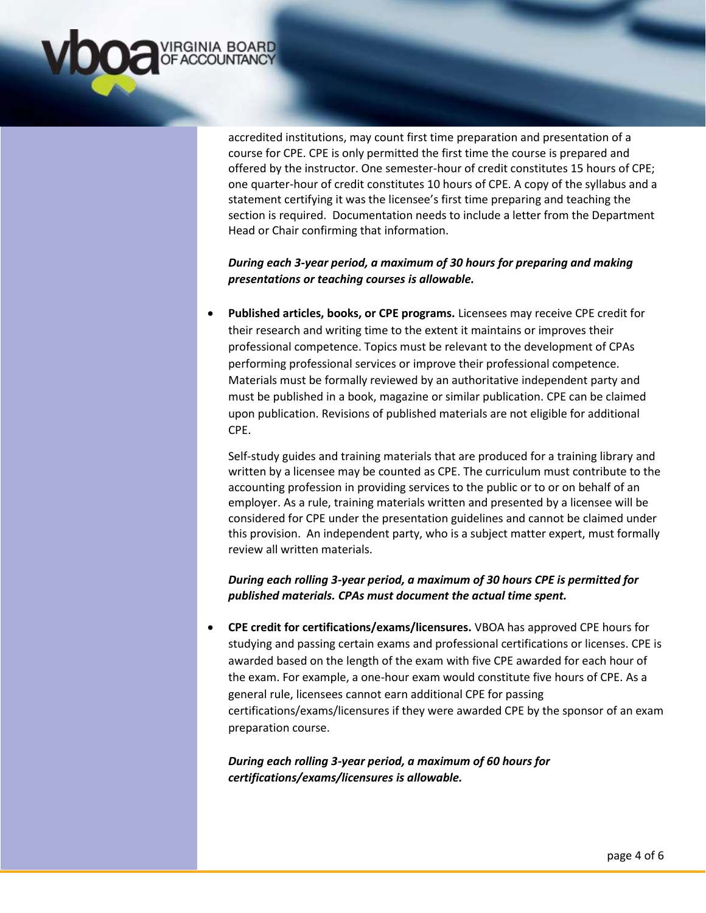

accredited institutions, may count first time preparation and presentation of a course for CPE. CPE is only permitted the first time the course is prepared and offered by the instructor. One semester-hour of credit constitutes 15 hours of CPE; one quarter-hour of credit constitutes 10 hours of CPE. A copy of the syllabus and a statement certifying it was the licensee's first time preparing and teaching the section is required. Documentation needs to include a letter from the Department Head or Chair confirming that information.

# *During each 3-year period, a maximum of 30 hours for preparing and making presentations or teaching courses is allowable.*

 **Published articles, books, or CPE programs.** Licensees may receive CPE credit for their research and writing time to the extent it maintains or improves their professional competence. Topics must be relevant to the development of CPAs performing professional services or improve their professional competence. Materials must be formally reviewed by an authoritative independent party and must be published in a book, magazine or similar publication. CPE can be claimed upon publication. Revisions of published materials are not eligible for additional CPE.

Self-study guides and training materials that are produced for a training library and written by a licensee may be counted as CPE. The curriculum must contribute to the accounting profession in providing services to the public or to or on behalf of an employer. As a rule, training materials written and presented by a licensee will be considered for CPE under the presentation guidelines and cannot be claimed under this provision. An independent party, who is a subject matter expert, must formally review all written materials.

## *During each rolling 3-year period, a maximum of 30 hours CPE is permitted for published materials. CPAs must document the actual time spent.*

 **CPE credit for certifications/exams/licensures.** VBOA has approved CPE hours for studying and passing certain exams and professional certifications or licenses. CPE is awarded based on the length of the exam with five CPE awarded for each hour of the exam. For example, a one-hour exam would constitute five hours of CPE. As a general rule, licensees cannot earn additional CPE for passing certifications/exams/licensures if they were awarded CPE by the sponsor of an exam preparation course.

# *During each rolling 3-year period, a maximum of 60 hours for certifications/exams/licensures is allowable.*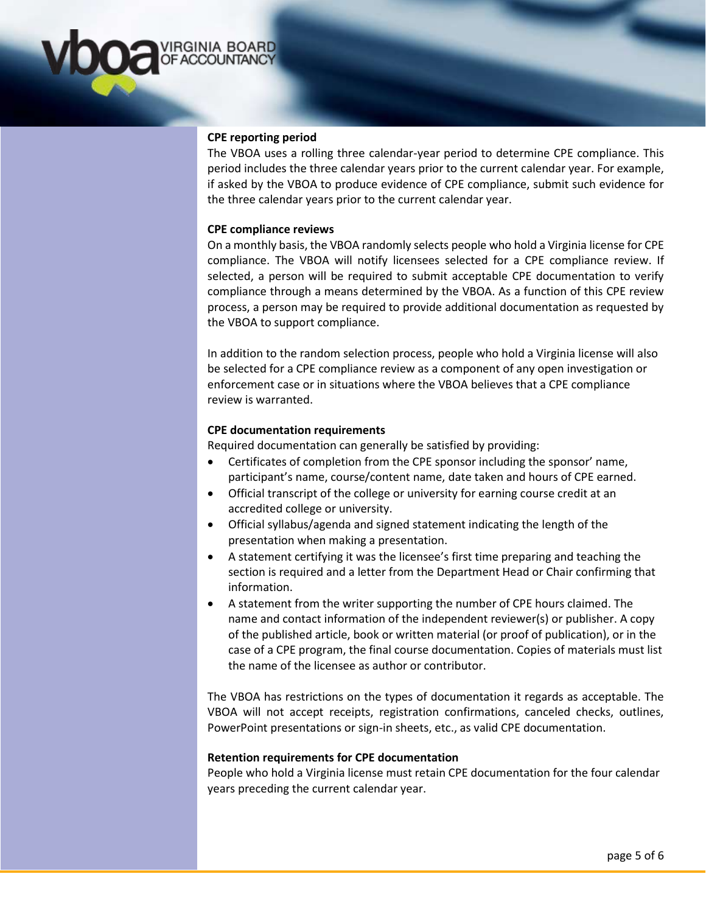

### **CPE reporting period**

The VBOA uses a rolling three calendar-year period to determine CPE compliance. This period includes the three calendar years prior to the current calendar year. For example, if asked by the VBOA to produce evidence of CPE compliance, submit such evidence for the three calendar years prior to the current calendar year.

### **CPE compliance reviews**

On a monthly basis, the VBOA randomly selects people who hold a Virginia license for CPE compliance. The VBOA will notify licensees selected for a CPE compliance review. If selected, a person will be required to submit acceptable CPE documentation to verify compliance through a means determined by the VBOA. As a function of this CPE review process, a person may be required to provide additional documentation as requested by the VBOA to support compliance.

In addition to the random selection process, people who hold a Virginia license will also be selected for a CPE compliance review as a component of any open investigation or enforcement case or in situations where the VBOA believes that a CPE compliance review is warranted.

### **CPE documentation requirements**

Required documentation can generally be satisfied by providing:

- Certificates of completion from the CPE sponsor including the sponsor' name, participant's name, course/content name, date taken and hours of CPE earned.
- Official transcript of the college or university for earning course credit at an accredited college or university.
- Official syllabus/agenda and signed statement indicating the length of the presentation when making a presentation.
- A statement certifying it was the licensee's first time preparing and teaching the section is required and a letter from the Department Head or Chair confirming that information.
- A statement from the writer supporting the number of CPE hours claimed. The name and contact information of the independent reviewer(s) or publisher. A copy of the published article, book or written material (or proof of publication), or in the case of a CPE program, the final course documentation. Copies of materials must list the name of the licensee as author or contributor.

The VBOA has restrictions on the types of documentation it regards as acceptable. The VBOA will not accept receipts, registration confirmations, canceled checks, outlines, PowerPoint presentations or sign-in sheets, etc., as valid CPE documentation.

#### **Retention requirements for CPE documentation**

People who hold a Virginia license must retain CPE documentation for the four calendar years preceding the current calendar year.